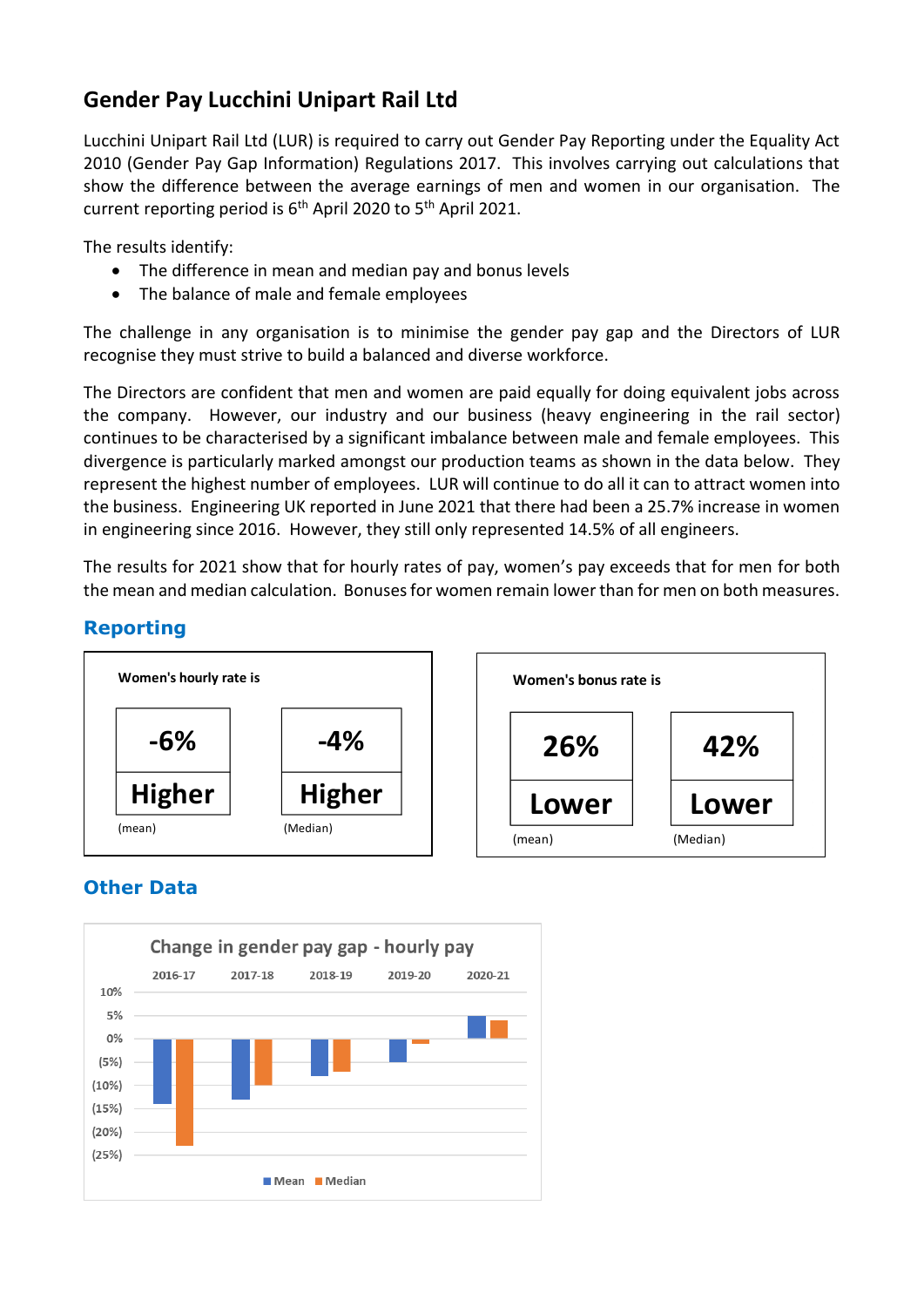## **Gender Pay Lucchini Unipart Rail Ltd**

Lucchini Unipart Rail Ltd (LUR) is required to carry out Gender Pay Reporting under the Equality Act 2010 (Gender Pay Gap Information) Regulations 2017. This involves carrying out calculations that show the difference between the average earnings of men and women in our organisation. The current reporting period is 6<sup>th</sup> April 2020 to 5<sup>th</sup> April 2021.

The results identify:

- The difference in mean and median pay and bonus levels
- The balance of male and female employees

The challenge in any organisation is to minimise the gender pay gap and the Directors of LUR recognise they must strive to build a balanced and diverse workforce.

The Directors are confident that men and women are paid equally for doing equivalent jobs across the company. However, our industry and our business (heavy engineering in the rail sector) continues to be characterised by a significant imbalance between male and female employees. This divergence is particularly marked amongst our production teams as shown in the data below. They represent the highest number of employees. LUR will continue to do all it can to attract women into the business. Engineering UK reported in June 2021 that there had been a 25.7% increase in women in engineering since 2016. However, they still only represented 14.5% of all engineers.

The results for 2021 show that for hourly rates of pay, women's pay exceeds that for men for both the mean and median calculation. Bonuses for women remain lower than for men on both measures.

## **Reporting**



## **Other Data**